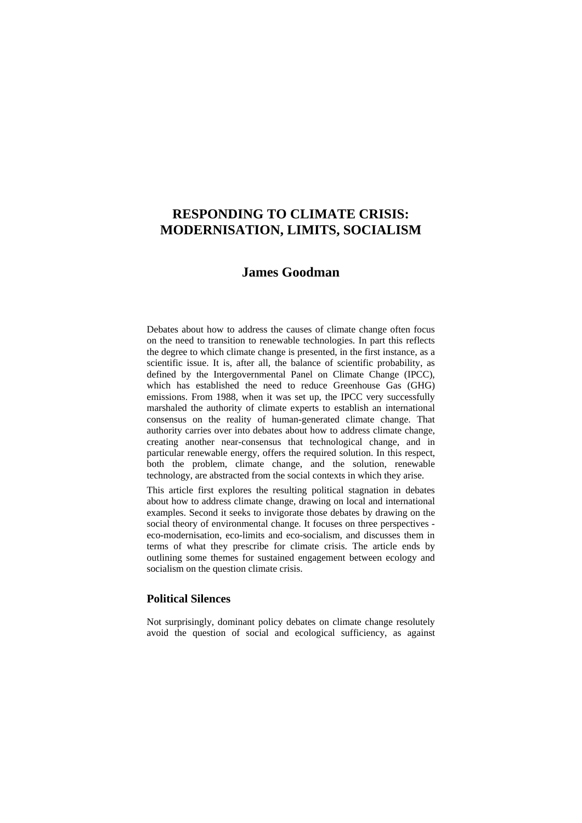# **RESPONDING TO CLIMATE CRISIS: MODERNISATION, LIMITS, SOCIALISM**

## **James Goodman**

Debates about how to address the causes of climate change often focus on the need to transition to renewable technologies. In part this reflects the degree to which climate change is presented, in the first instance, as a scientific issue. It is, after all, the balance of scientific probability, as defined by the Intergovernmental Panel on Climate Change (IPCC), which has established the need to reduce Greenhouse Gas (GHG) emissions. From 1988, when it was set up, the IPCC very successfully marshaled the authority of climate experts to establish an international consensus on the reality of human-generated climate change. That authority carries over into debates about how to address climate change, creating another near-consensus that technological change, and in particular renewable energy, offers the required solution. In this respect, both the problem, climate change, and the solution, renewable technology, are abstracted from the social contexts in which they arise.

This article first explores the resulting political stagnation in debates about how to address climate change, drawing on local and international examples. Second it seeks to invigorate those debates by drawing on the social theory of environmental change. It focuses on three perspectives eco-modernisation, eco-limits and eco-socialism, and discusses them in terms of what they prescribe for climate crisis. The article ends by outlining some themes for sustained engagement between ecology and socialism on the question climate crisis.

## **Political Silences**

Not surprisingly, dominant policy debates on climate change resolutely avoid the question of social and ecological sufficiency, as against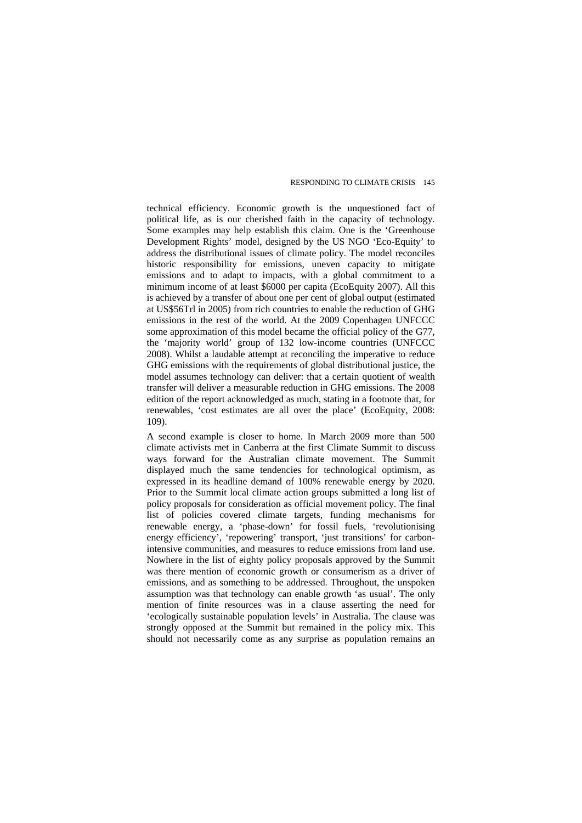technical efficiency. Economic growth is the unquestioned fact of political life, as is our cherished faith in the capacity of technology. Some examples may help establish this claim. One is the 'Greenhouse Development Rights' model, designed by the US NGO 'Eco-Equity' to address the distributional issues of climate policy. The model reconciles historic responsibility for emissions, uneven capacity to mitigate emissions and to adapt to impacts, with a global commitment to a minimum income of at least \$6000 per capita (EcoEquity 2007). All this is achieved by a transfer of about one per cent of global output (estimated at US\$56Trl in 2005) from rich countries to enable the reduction of GHG emissions in the rest of the world. At the 2009 Copenhagen UNFCCC some approximation of this model became the official policy of the G77, the 'majority world' group of 132 low-income countries (UNFCCC 2008). Whilst a laudable attempt at reconciling the imperative to reduce GHG emissions with the requirements of global distributional justice, the model assumes technology can deliver: that a certain quotient of wealth transfer will deliver a measurable reduction in GHG emissions. The 2008 edition of the report acknowledged as much, stating in a footnote that, for renewables, 'cost estimates are all over the place' (EcoEquity, 2008: 109).

A second example is closer to home. In March 2009 more than 500 climate activists met in Canberra at the first Climate Summit to discuss ways forward for the Australian climate movement. The Summit displayed much the same tendencies for technological optimism, as expressed in its headline demand of 100% renewable energy by 2020. Prior to the Summit local climate action groups submitted a long list of policy proposals for consideration as official movement policy. The final list of policies covered climate targets, funding mechanisms for renewable energy, a 'phase-down' for fossil fuels, 'revolutionising energy efficiency', 'repowering' transport, 'just transitions' for carbonintensive communities, and measures to reduce emissions from land use. Nowhere in the list of eighty policy proposals approved by the Summit was there mention of economic growth or consumerism as a driver of emissions, and as something to be addressed. Throughout, the unspoken assumption was that technology can enable growth 'as usual'. The only mention of finite resources was in a clause asserting the need for 'ecologically sustainable population levels' in Australia. The clause was strongly opposed at the Summit but remained in the policy mix. This should not necessarily come as any surprise as population remains an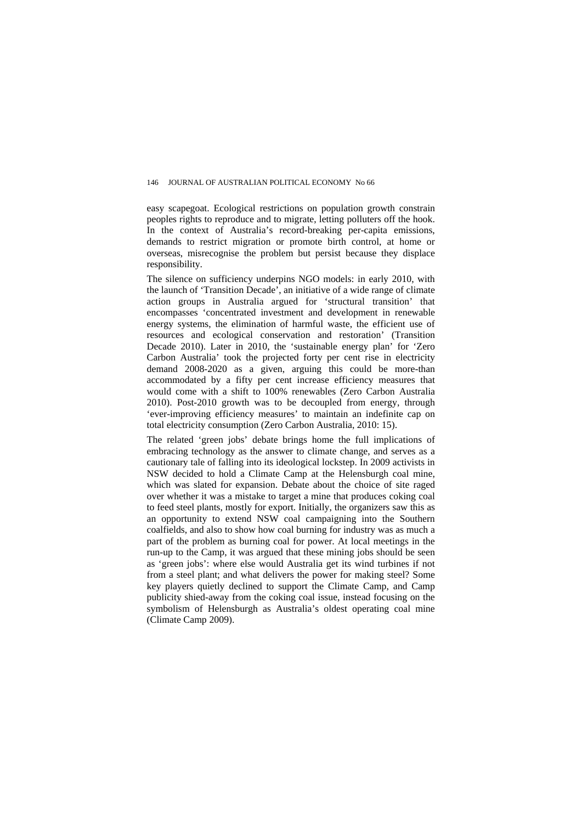easy scapegoat. Ecological restrictions on population growth constrain peoples rights to reproduce and to migrate, letting polluters off the hook. In the context of Australia's record-breaking per-capita emissions, demands to restrict migration or promote birth control, at home or overseas, misrecognise the problem but persist because they displace responsibility.

The silence on sufficiency underpins NGO models: in early 2010, with the launch of 'Transition Decade', an initiative of a wide range of climate action groups in Australia argued for 'structural transition' that encompasses 'concentrated investment and development in renewable energy systems, the elimination of harmful waste, the efficient use of resources and ecological conservation and restoration' (Transition Decade 2010). Later in 2010, the 'sustainable energy plan' for 'Zero Carbon Australia' took the projected forty per cent rise in electricity demand 2008-2020 as a given, arguing this could be more-than accommodated by a fifty per cent increase efficiency measures that would come with a shift to 100% renewables (Zero Carbon Australia 2010). Post-2010 growth was to be decoupled from energy, through 'ever-improving efficiency measures' to maintain an indefinite cap on total electricity consumption (Zero Carbon Australia, 2010: 15).

The related 'green jobs' debate brings home the full implications of embracing technology as the answer to climate change, and serves as a cautionary tale of falling into its ideological lockstep. In 2009 activists in NSW decided to hold a Climate Camp at the Helensburgh coal mine, which was slated for expansion. Debate about the choice of site raged over whether it was a mistake to target a mine that produces coking coal to feed steel plants, mostly for export. Initially, the organizers saw this as an opportunity to extend NSW coal campaigning into the Southern coalfields, and also to show how coal burning for industry was as much a part of the problem as burning coal for power. At local meetings in the run-up to the Camp, it was argued that these mining jobs should be seen as 'green jobs': where else would Australia get its wind turbines if not from a steel plant; and what delivers the power for making steel? Some key players quietly declined to support the Climate Camp, and Camp publicity shied-away from the coking coal issue, instead focusing on the symbolism of Helensburgh as Australia's oldest operating coal mine (Climate Camp 2009).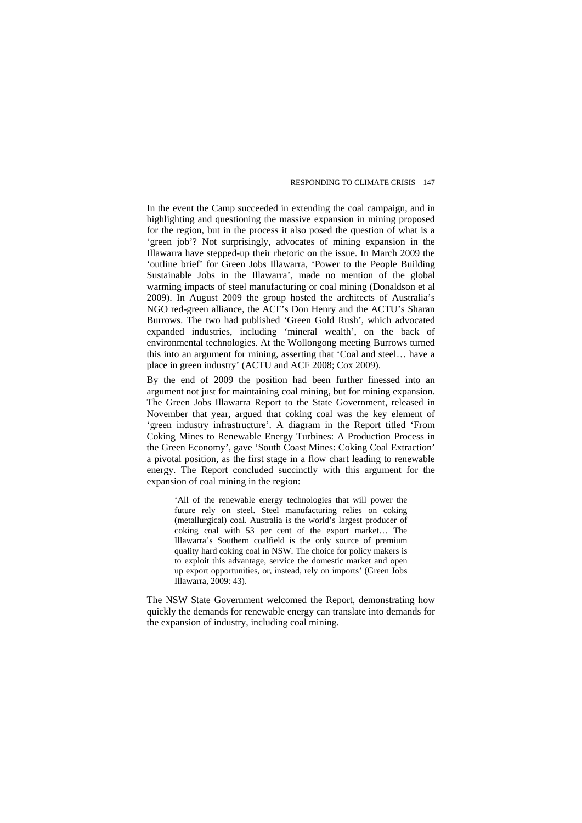In the event the Camp succeeded in extending the coal campaign, and in highlighting and questioning the massive expansion in mining proposed for the region, but in the process it also posed the question of what is a 'green job'? Not surprisingly, advocates of mining expansion in the Illawarra have stepped-up their rhetoric on the issue. In March 2009 the 'outline brief' for Green Jobs Illawarra, 'Power to the People Building Sustainable Jobs in the Illawarra', made no mention of the global warming impacts of steel manufacturing or coal mining (Donaldson et al 2009). In August 2009 the group hosted the architects of Australia's NGO red-green alliance, the ACF's Don Henry and the ACTU's Sharan Burrows. The two had published 'Green Gold Rush', which advocated expanded industries, including 'mineral wealth', on the back of environmental technologies. At the Wollongong meeting Burrows turned this into an argument for mining, asserting that 'Coal and steel… have a place in green industry' (ACTU and ACF 2008; Cox 2009).

By the end of 2009 the position had been further finessed into an argument not just for maintaining coal mining, but for mining expansion. The Green Jobs Illawarra Report to the State Government, released in November that year, argued that coking coal was the key element of 'green industry infrastructure'. A diagram in the Report titled 'From Coking Mines to Renewable Energy Turbines: A Production Process in the Green Economy', gave 'South Coast Mines: Coking Coal Extraction' a pivotal position, as the first stage in a flow chart leading to renewable energy. The Report concluded succinctly with this argument for the expansion of coal mining in the region:

'All of the renewable energy technologies that will power the future rely on steel. Steel manufacturing relies on coking (metallurgical) coal. Australia is the world's largest producer of coking coal with 53 per cent of the export market… The Illawarra's Southern coalfield is the only source of premium quality hard coking coal in NSW. The choice for policy makers is to exploit this advantage, service the domestic market and open up export opportunities, or, instead, rely on imports' (Green Jobs Illawarra, 2009: 43).

The NSW State Government welcomed the Report, demonstrating how quickly the demands for renewable energy can translate into demands for the expansion of industry, including coal mining.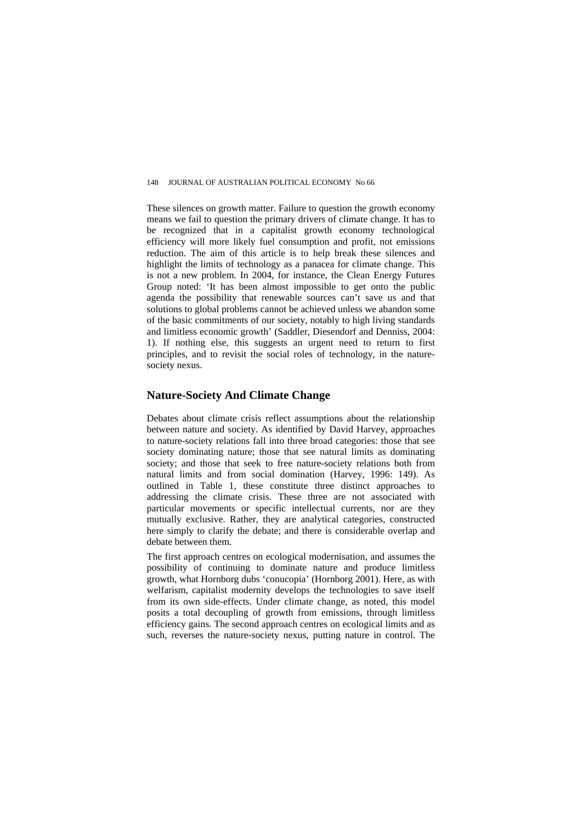These silences on growth matter. Failure to question the growth economy means we fail to question the primary drivers of climate change. It has to be recognized that in a capitalist growth economy technological efficiency will more likely fuel consumption and profit, not emissions reduction. The aim of this article is to help break these silences and highlight the limits of technology as a panacea for climate change. This is not a new problem. In 2004, for instance, the Clean Energy Futures Group noted: 'It has been almost impossible to get onto the public agenda the possibility that renewable sources can't save us and that solutions to global problems cannot be achieved unless we abandon some of the basic commitments of our society, notably to high living standards and limitless economic growth' (Saddler, Diesendorf and Denniss, 2004: 1). If nothing else, this suggests an urgent need to return to first principles, and to revisit the social roles of technology, in the naturesociety nexus.

## **Nature-Society And Climate Change**

Debates about climate crisis reflect assumptions about the relationship between nature and society. As identified by David Harvey, approaches to nature-society relations fall into three broad categories: those that see society dominating nature; those that see natural limits as dominating society; and those that seek to free nature-society relations both from natural limits and from social domination (Harvey, 1996: 149). As outlined in Table 1, these constitute three distinct approaches to addressing the climate crisis. These three are not associated with particular movements or specific intellectual currents, nor are they mutually exclusive. Rather, they are analytical categories, constructed here simply to clarify the debate; and there is considerable overlap and debate between them.

The first approach centres on ecological modernisation, and assumes the possibility of continuing to dominate nature and produce limitless growth, what Hornborg dubs 'conucopia' (Hornborg 2001). Here, as with welfarism, capitalist modernity develops the technologies to save itself from its own side-effects. Under climate change, as noted, this model posits a total decoupling of growth from emissions, through limitless efficiency gains. The second approach centres on ecological limits and as such, reverses the nature-society nexus, putting nature in control. The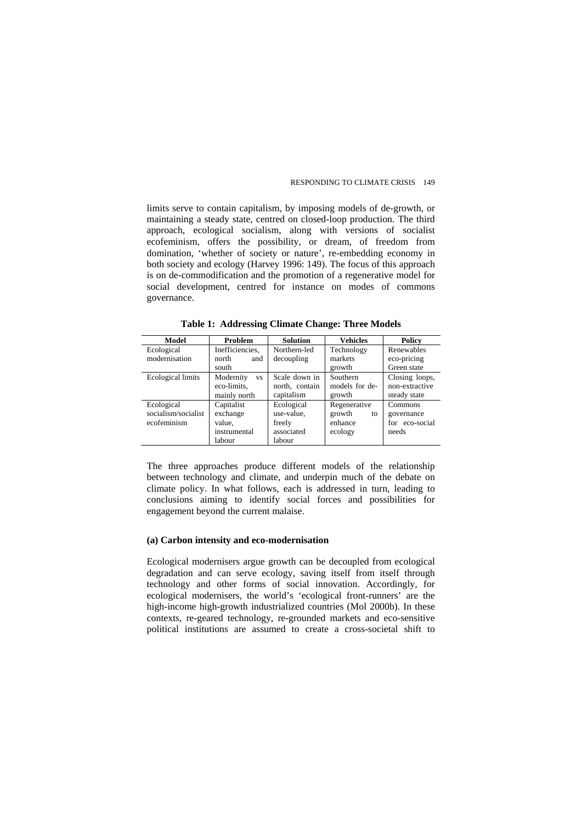limits serve to contain capitalism, by imposing models of de-growth, or maintaining a steady state, centred on closed-loop production. The third approach, ecological socialism, along with versions of socialist ecofeminism, offers the possibility, or dream, of freedom from domination, 'whether of society or nature', re-embedding economy in both society and ecology (Harvey 1996: 149). The focus of this approach is on de-commodification and the promotion of a regenerative model for social development, centred for instance on modes of commons governance.

| <b>Model</b>             | Problem                | <b>Solution</b> | <b>Vehicles</b> | <b>Policy</b>  |
|--------------------------|------------------------|-----------------|-----------------|----------------|
| Ecological               | Inefficiencies.        | Northern-led    | Technology      | Renewables     |
| modernisation            | north<br>and           | decoupling      | markets         | eco-pricing    |
|                          | south                  |                 | growth          | Green state    |
| <b>Ecological limits</b> | Modernity<br><b>VS</b> | Scale down in   | Southern        | Closing loops. |
|                          | eco-limits,            | north, contain  | models for de-  | non-extractive |
|                          | mainly north           | capitalism      | growth          | steady state   |
| Ecological               | Capitalist             | Ecological      | Regenerative    | Commons        |
| socialism/socialist      | exchange               | use-value,      | growth<br>to    | governance     |
| ecofeminism              | value,                 | freely          | enhance         | for eco-social |
|                          | instrumental           | associated      | ecology         | needs          |
|                          | labour                 | labour          |                 |                |

**Table 1: Addressing Climate Change: Three Models** 

The three approaches produce different models of the relationship between technology and climate, and underpin much of the debate on climate policy. In what follows, each is addressed in turn, leading to conclusions aiming to identify social forces and possibilities for engagement beyond the current malaise.

#### **(a) Carbon intensity and eco-modernisation**

Ecological modernisers argue growth can be decoupled from ecological degradation and can serve ecology, saving itself from itself through technology and other forms of social innovation. Accordingly, for ecological modernisers, the world's 'ecological front-runners' are the high-income high-growth industrialized countries (Mol 2000b). In these contexts, re-geared technology, re-grounded markets and eco-sensitive political institutions are assumed to create a cross-societal shift to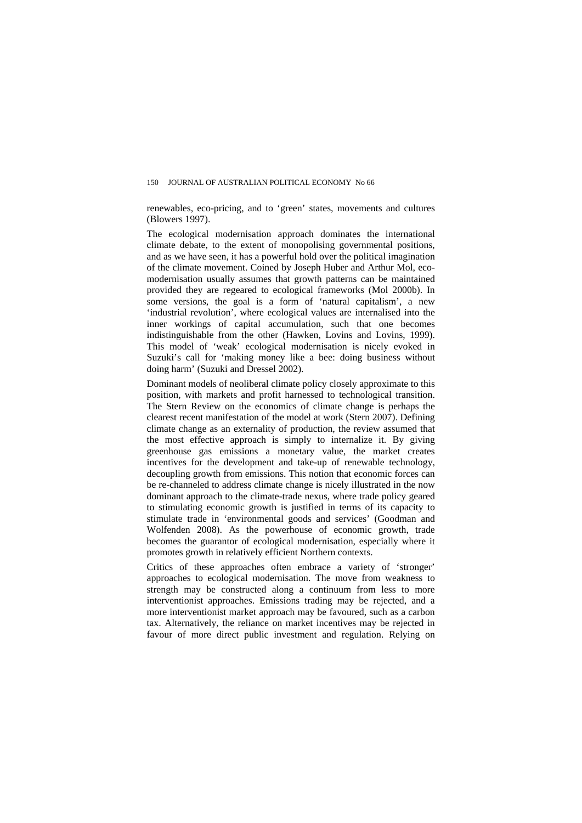renewables, eco-pricing, and to 'green' states, movements and cultures (Blowers 1997).

The ecological modernisation approach dominates the international climate debate, to the extent of monopolising governmental positions, and as we have seen, it has a powerful hold over the political imagination of the climate movement. Coined by Joseph Huber and Arthur Mol, ecomodernisation usually assumes that growth patterns can be maintained provided they are regeared to ecological frameworks (Mol 2000b). In some versions, the goal is a form of 'natural capitalism', a new 'industrial revolution', where ecological values are internalised into the inner workings of capital accumulation, such that one becomes indistinguishable from the other (Hawken, Lovins and Lovins, 1999). This model of 'weak' ecological modernisation is nicely evoked in Suzuki's call for 'making money like a bee: doing business without doing harm' (Suzuki and Dressel 2002).

Dominant models of neoliberal climate policy closely approximate to this position, with markets and profit harnessed to technological transition. The Stern Review on the economics of climate change is perhaps the clearest recent manifestation of the model at work (Stern 2007). Defining climate change as an externality of production, the review assumed that the most effective approach is simply to internalize it. By giving greenhouse gas emissions a monetary value, the market creates incentives for the development and take-up of renewable technology, decoupling growth from emissions. This notion that economic forces can be re-channeled to address climate change is nicely illustrated in the now dominant approach to the climate-trade nexus, where trade policy geared to stimulating economic growth is justified in terms of its capacity to stimulate trade in 'environmental goods and services' (Goodman and Wolfenden 2008). As the powerhouse of economic growth, trade becomes the guarantor of ecological modernisation, especially where it promotes growth in relatively efficient Northern contexts.

Critics of these approaches often embrace a variety of 'stronger' approaches to ecological modernisation. The move from weakness to strength may be constructed along a continuum from less to more interventionist approaches. Emissions trading may be rejected, and a more interventionist market approach may be favoured, such as a carbon tax. Alternatively, the reliance on market incentives may be rejected in favour of more direct public investment and regulation. Relying on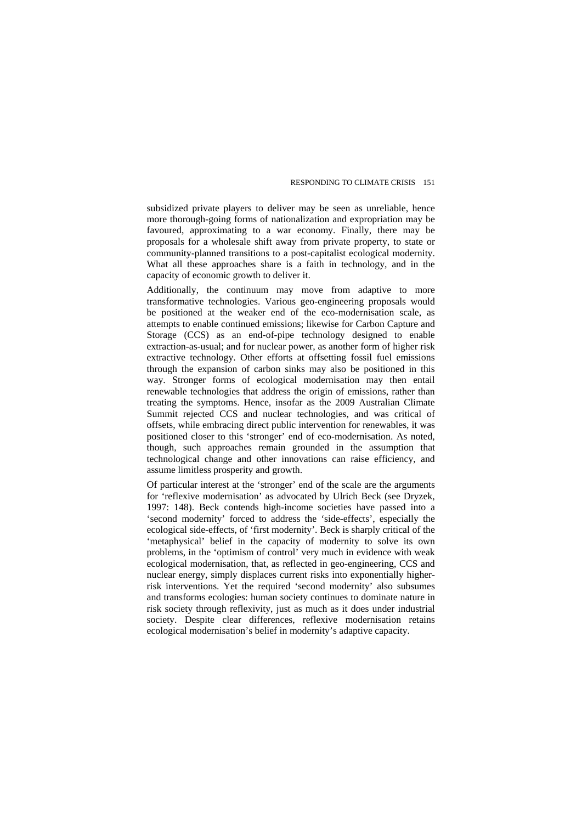subsidized private players to deliver may be seen as unreliable, hence more thorough-going forms of nationalization and expropriation may be favoured, approximating to a war economy. Finally, there may be proposals for a wholesale shift away from private property, to state or community-planned transitions to a post-capitalist ecological modernity. What all these approaches share is a faith in technology, and in the capacity of economic growth to deliver it.

Additionally, the continuum may move from adaptive to more transformative technologies. Various geo-engineering proposals would be positioned at the weaker end of the eco-modernisation scale, as attempts to enable continued emissions; likewise for Carbon Capture and Storage (CCS) as an end-of-pipe technology designed to enable extraction-as-usual; and for nuclear power, as another form of higher risk extractive technology. Other efforts at offsetting fossil fuel emissions through the expansion of carbon sinks may also be positioned in this way. Stronger forms of ecological modernisation may then entail renewable technologies that address the origin of emissions, rather than treating the symptoms. Hence, insofar as the 2009 Australian Climate Summit rejected CCS and nuclear technologies, and was critical of offsets, while embracing direct public intervention for renewables, it was positioned closer to this 'stronger' end of eco-modernisation. As noted, though, such approaches remain grounded in the assumption that technological change and other innovations can raise efficiency, and assume limitless prosperity and growth.

Of particular interest at the 'stronger' end of the scale are the arguments for 'reflexive modernisation' as advocated by Ulrich Beck (see Dryzek, 1997: 148). Beck contends high-income societies have passed into a 'second modernity' forced to address the 'side-effects', especially the ecological side-effects, of 'first modernity'. Beck is sharply critical of the 'metaphysical' belief in the capacity of modernity to solve its own problems, in the 'optimism of control' very much in evidence with weak ecological modernisation, that, as reflected in geo-engineering, CCS and nuclear energy, simply displaces current risks into exponentially higherrisk interventions. Yet the required 'second modernity' also subsumes and transforms ecologies: human society continues to dominate nature in risk society through reflexivity, just as much as it does under industrial society. Despite clear differences, reflexive modernisation retains ecological modernisation's belief in modernity's adaptive capacity.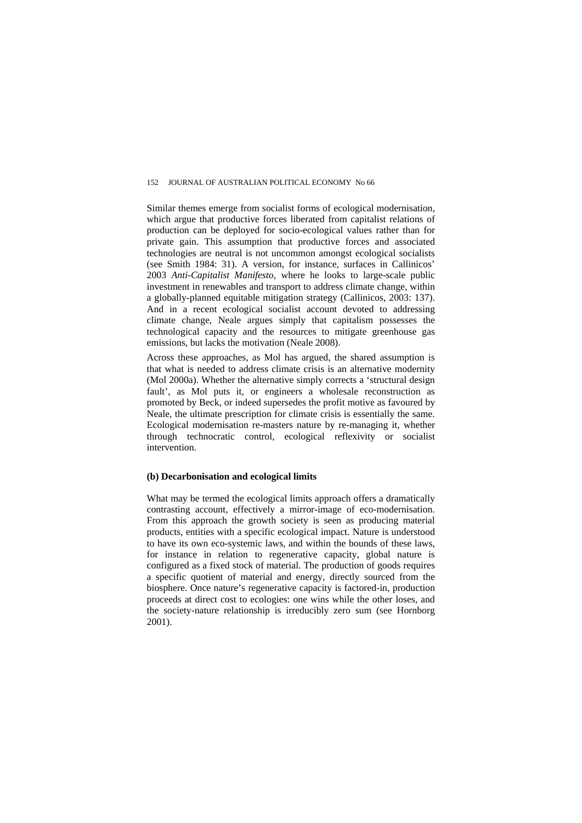Similar themes emerge from socialist forms of ecological modernisation, which argue that productive forces liberated from capitalist relations of production can be deployed for socio-ecological values rather than for private gain. This assumption that productive forces and associated technologies are neutral is not uncommon amongst ecological socialists (see Smith 1984: 31). A version, for instance, surfaces in Callinicos' 2003 *Anti-Capitalist Manifesto,* where he looks to large-scale public investment in renewables and transport to address climate change, within a globally-planned equitable mitigation strategy (Callinicos, 2003: 137). And in a recent ecological socialist account devoted to addressing climate change, Neale argues simply that capitalism possesses the technological capacity and the resources to mitigate greenhouse gas emissions, but lacks the motivation (Neale 2008).

Across these approaches, as Mol has argued, the shared assumption is that what is needed to address climate crisis is an alternative modernity (Mol 2000a). Whether the alternative simply corrects a 'structural design fault', as Mol puts it, or engineers a wholesale reconstruction as promoted by Beck, or indeed supersedes the profit motive as favoured by Neale, the ultimate prescription for climate crisis is essentially the same. Ecological modernisation re-masters nature by re-managing it, whether through technocratic control, ecological reflexivity or socialist intervention.

#### **(b) Decarbonisation and ecological limits**

What may be termed the ecological limits approach offers a dramatically contrasting account, effectively a mirror-image of eco-modernisation. From this approach the growth society is seen as producing material products, entities with a specific ecological impact. Nature is understood to have its own eco-systemic laws, and within the bounds of these laws, for instance in relation to regenerative capacity, global nature is configured as a fixed stock of material. The production of goods requires a specific quotient of material and energy, directly sourced from the biosphere. Once nature's regenerative capacity is factored-in, production proceeds at direct cost to ecologies: one wins while the other loses, and the society-nature relationship is irreducibly zero sum (see Hornborg 2001).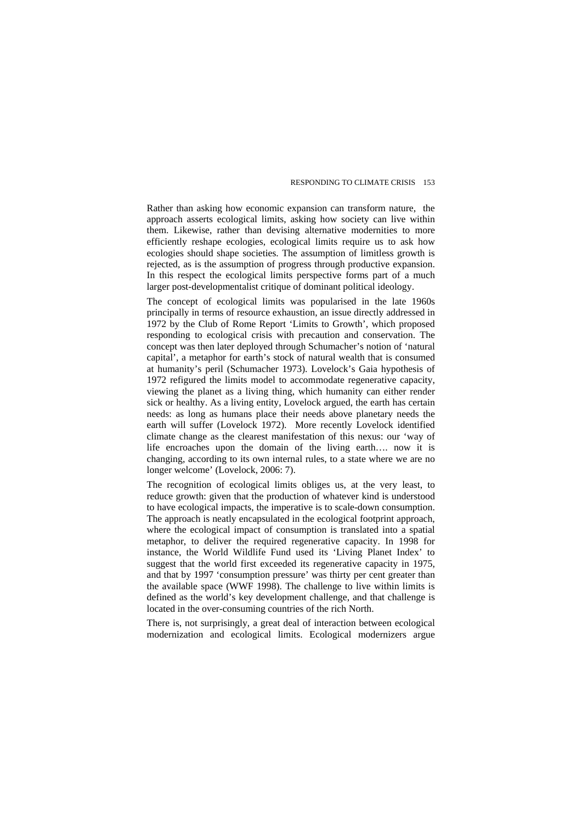Rather than asking how economic expansion can transform nature, the approach asserts ecological limits, asking how society can live within them. Likewise, rather than devising alternative modernities to more efficiently reshape ecologies, ecological limits require us to ask how ecologies should shape societies. The assumption of limitless growth is rejected, as is the assumption of progress through productive expansion. In this respect the ecological limits perspective forms part of a much larger post-developmentalist critique of dominant political ideology.

The concept of ecological limits was popularised in the late 1960s principally in terms of resource exhaustion, an issue directly addressed in 1972 by the Club of Rome Report 'Limits to Growth', which proposed responding to ecological crisis with precaution and conservation. The concept was then later deployed through Schumacher's notion of 'natural capital', a metaphor for earth's stock of natural wealth that is consumed at humanity's peril (Schumacher 1973). Lovelock's Gaia hypothesis of 1972 refigured the limits model to accommodate regenerative capacity, viewing the planet as a living thing, which humanity can either render sick or healthy. As a living entity, Lovelock argued, the earth has certain needs: as long as humans place their needs above planetary needs the earth will suffer (Lovelock 1972). More recently Lovelock identified climate change as the clearest manifestation of this nexus: our 'way of life encroaches upon the domain of the living earth…. now it is changing, according to its own internal rules, to a state where we are no longer welcome' (Lovelock, 2006: 7).

The recognition of ecological limits obliges us, at the very least, to reduce growth: given that the production of whatever kind is understood to have ecological impacts, the imperative is to scale-down consumption. The approach is neatly encapsulated in the ecological footprint approach, where the ecological impact of consumption is translated into a spatial metaphor, to deliver the required regenerative capacity. In 1998 for instance, the World Wildlife Fund used its 'Living Planet Index' to suggest that the world first exceeded its regenerative capacity in 1975, and that by 1997 'consumption pressure' was thirty per cent greater than the available space (WWF 1998). The challenge to live within limits is defined as the world's key development challenge, and that challenge is located in the over-consuming countries of the rich North.

There is, not surprisingly, a great deal of interaction between ecological modernization and ecological limits. Ecological modernizers argue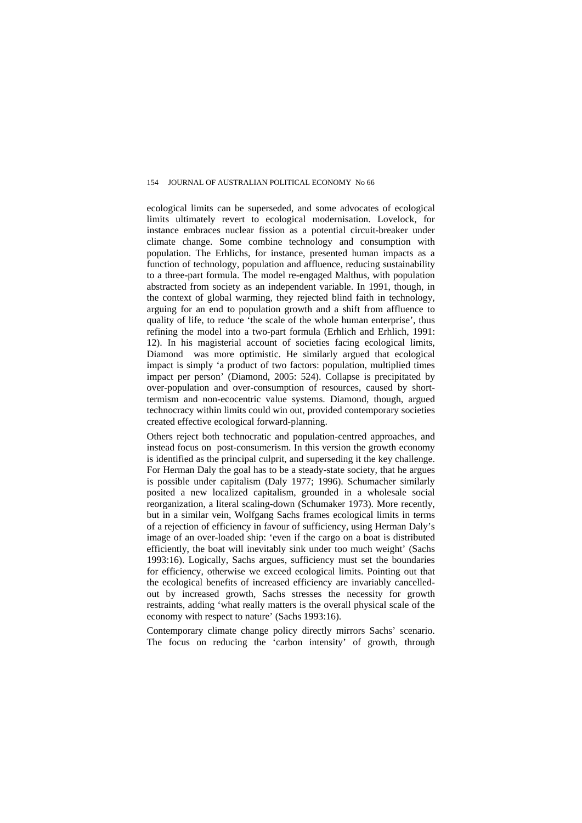ecological limits can be superseded, and some advocates of ecological limits ultimately revert to ecological modernisation. Lovelock, for instance embraces nuclear fission as a potential circuit-breaker under climate change. Some combine technology and consumption with population. The Erhlichs, for instance, presented human impacts as a function of technology, population and affluence, reducing sustainability to a three-part formula. The model re-engaged Malthus, with population abstracted from society as an independent variable. In 1991, though, in the context of global warming, they rejected blind faith in technology, arguing for an end to population growth and a shift from affluence to quality of life, to reduce 'the scale of the whole human enterprise', thus refining the model into a two-part formula (Erhlich and Erhlich, 1991: 12). In his magisterial account of societies facing ecological limits, Diamond was more optimistic. He similarly argued that ecological impact is simply 'a product of two factors: population, multiplied times impact per person' (Diamond, 2005: 524). Collapse is precipitated by over-population and over-consumption of resources, caused by shorttermism and non-ecocentric value systems. Diamond, though, argued technocracy within limits could win out, provided contemporary societies created effective ecological forward-planning.

Others reject both technocratic and population-centred approaches, and instead focus on post-consumerism. In this version the growth economy is identified as the principal culprit, and superseding it the key challenge. For Herman Daly the goal has to be a steady-state society, that he argues is possible under capitalism (Daly 1977; 1996). Schumacher similarly posited a new localized capitalism, grounded in a wholesale social reorganization, a literal scaling-down (Schumaker 1973). More recently, but in a similar vein, Wolfgang Sachs frames ecological limits in terms of a rejection of efficiency in favour of sufficiency, using Herman Daly's image of an over-loaded ship: 'even if the cargo on a boat is distributed efficiently, the boat will inevitably sink under too much weight' (Sachs 1993:16). Logically, Sachs argues, sufficiency must set the boundaries for efficiency, otherwise we exceed ecological limits. Pointing out that the ecological benefits of increased efficiency are invariably cancelledout by increased growth, Sachs stresses the necessity for growth restraints, adding 'what really matters is the overall physical scale of the economy with respect to nature' (Sachs 1993:16).

Contemporary climate change policy directly mirrors Sachs' scenario. The focus on reducing the 'carbon intensity' of growth, through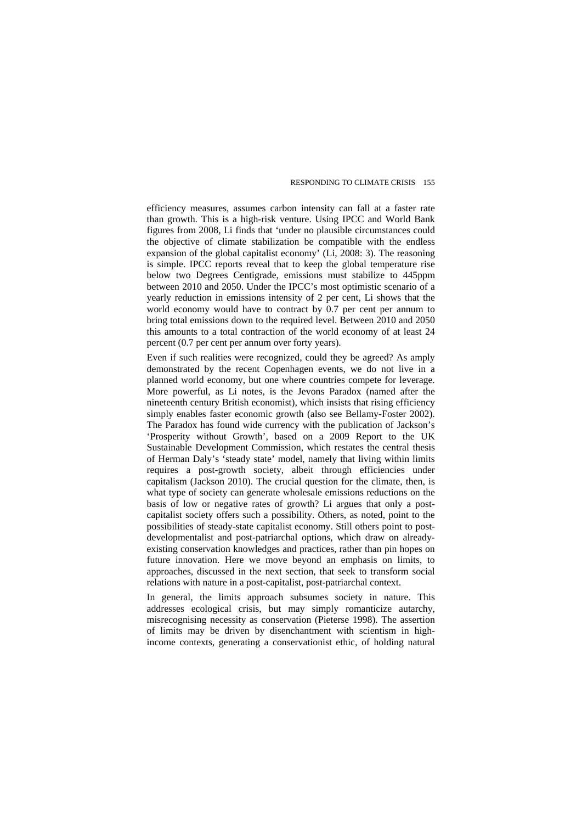efficiency measures, assumes carbon intensity can fall at a faster rate than growth. This is a high-risk venture. Using IPCC and World Bank figures from 2008, Li finds that 'under no plausible circumstances could the objective of climate stabilization be compatible with the endless expansion of the global capitalist economy' (Li, 2008: 3). The reasoning is simple. IPCC reports reveal that to keep the global temperature rise below two Degrees Centigrade, emissions must stabilize to 445ppm between 2010 and 2050. Under the IPCC's most optimistic scenario of a yearly reduction in emissions intensity of 2 per cent, Li shows that the world economy would have to contract by 0.7 per cent per annum to bring total emissions down to the required level. Between 2010 and 2050 this amounts to a total contraction of the world economy of at least 24 percent (0.7 per cent per annum over forty years).

Even if such realities were recognized, could they be agreed? As amply demonstrated by the recent Copenhagen events, we do not live in a planned world economy, but one where countries compete for leverage. More powerful, as Li notes, is the Jevons Paradox (named after the nineteenth century British economist), which insists that rising efficiency simply enables faster economic growth (also see Bellamy-Foster 2002). The Paradox has found wide currency with the publication of Jackson's 'Prosperity without Growth', based on a 2009 Report to the UK Sustainable Development Commission, which restates the central thesis of Herman Daly's 'steady state' model, namely that living within limits requires a post-growth society, albeit through efficiencies under capitalism (Jackson 2010). The crucial question for the climate, then, is what type of society can generate wholesale emissions reductions on the basis of low or negative rates of growth? Li argues that only a postcapitalist society offers such a possibility. Others, as noted, point to the possibilities of steady-state capitalist economy. Still others point to postdevelopmentalist and post-patriarchal options, which draw on alreadyexisting conservation knowledges and practices, rather than pin hopes on future innovation. Here we move beyond an emphasis on limits, to approaches, discussed in the next section, that seek to transform social relations with nature in a post-capitalist, post-patriarchal context.

In general, the limits approach subsumes society in nature. This addresses ecological crisis, but may simply romanticize autarchy, misrecognising necessity as conservation (Pieterse 1998). The assertion of limits may be driven by disenchantment with scientism in highincome contexts, generating a conservationist ethic, of holding natural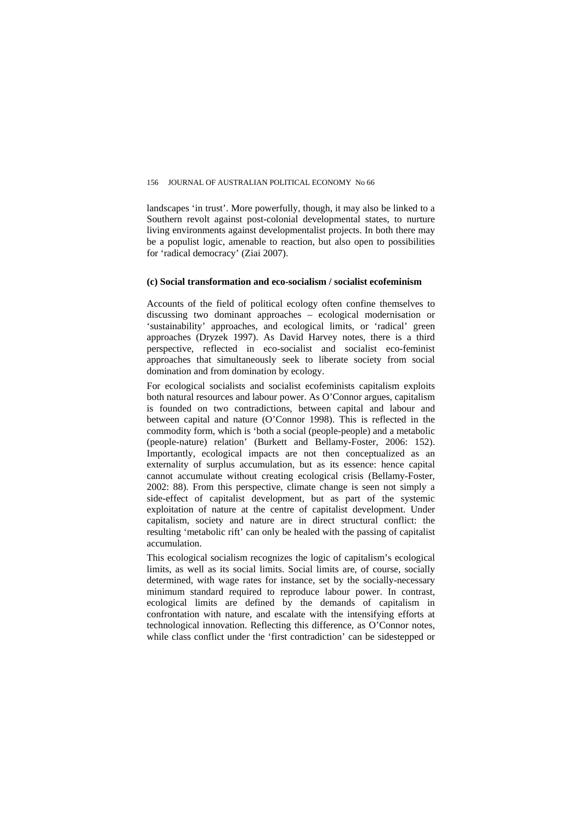landscapes 'in trust'. More powerfully, though, it may also be linked to a Southern revolt against post-colonial developmental states, to nurture living environments against developmentalist projects. In both there may be a populist logic, amenable to reaction, but also open to possibilities for 'radical democracy' (Ziai 2007).

### **(c) Social transformation and eco-socialism / socialist ecofeminism**

Accounts of the field of political ecology often confine themselves to discussing two dominant approaches – ecological modernisation or 'sustainability' approaches, and ecological limits, or 'radical' green approaches (Dryzek 1997). As David Harvey notes, there is a third perspective, reflected in eco-socialist and socialist eco-feminist approaches that simultaneously seek to liberate society from social domination and from domination by ecology.

For ecological socialists and socialist ecofeminists capitalism exploits both natural resources and labour power. As O'Connor argues, capitalism is founded on two contradictions, between capital and labour and between capital and nature (O'Connor 1998). This is reflected in the commodity form, which is 'both a social (people-people) and a metabolic (people-nature) relation' (Burkett and Bellamy-Foster, 2006: 152). Importantly, ecological impacts are not then conceptualized as an externality of surplus accumulation, but as its essence: hence capital cannot accumulate without creating ecological crisis (Bellamy-Foster, 2002: 88). From this perspective, climate change is seen not simply a side-effect of capitalist development, but as part of the systemic exploitation of nature at the centre of capitalist development. Under capitalism, society and nature are in direct structural conflict: the resulting 'metabolic rift' can only be healed with the passing of capitalist accumulation.

This ecological socialism recognizes the logic of capitalism's ecological limits, as well as its social limits. Social limits are, of course, socially determined, with wage rates for instance, set by the socially-necessary minimum standard required to reproduce labour power. In contrast, ecological limits are defined by the demands of capitalism in confrontation with nature, and escalate with the intensifying efforts at technological innovation. Reflecting this difference, as O'Connor notes, while class conflict under the 'first contradiction' can be sidestepped or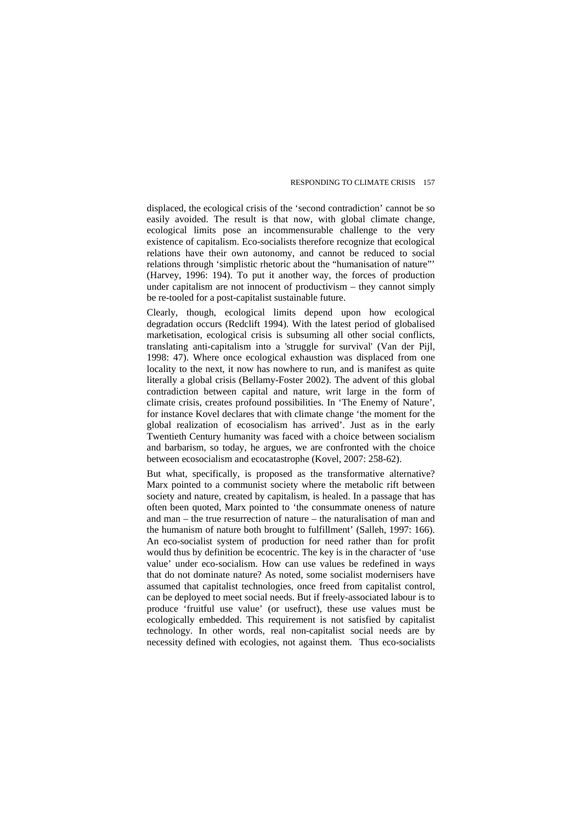displaced, the ecological crisis of the 'second contradiction' cannot be so easily avoided. The result is that now, with global climate change, ecological limits pose an incommensurable challenge to the very existence of capitalism. Eco-socialists therefore recognize that ecological relations have their own autonomy, and cannot be reduced to social relations through 'simplistic rhetoric about the "humanisation of nature"' (Harvey, 1996: 194). To put it another way, the forces of production under capitalism are not innocent of productivism – they cannot simply be re-tooled for a post-capitalist sustainable future.

Clearly, though, ecological limits depend upon how ecological degradation occurs (Redclift 1994). With the latest period of globalised marketisation, ecological crisis is subsuming all other social conflicts, translating anti-capitalism into a 'struggle for survival' (Van der Pijl, 1998: 47). Where once ecological exhaustion was displaced from one locality to the next, it now has nowhere to run, and is manifest as quite literally a global crisis (Bellamy-Foster 2002). The advent of this global contradiction between capital and nature, writ large in the form of climate crisis, creates profound possibilities. In 'The Enemy of Nature', for instance Kovel declares that with climate change 'the moment for the global realization of ecosocialism has arrived'. Just as in the early Twentieth Century humanity was faced with a choice between socialism and barbarism, so today, he argues, we are confronted with the choice between ecosocialism and ecocatastrophe (Kovel, 2007: 258-62).

But what, specifically, is proposed as the transformative alternative? Marx pointed to a communist society where the metabolic rift between society and nature, created by capitalism, is healed. In a passage that has often been quoted, Marx pointed to 'the consummate oneness of nature and man – the true resurrection of nature – the naturalisation of man and the humanism of nature both brought to fulfillment' (Salleh, 1997: 166). An eco-socialist system of production for need rather than for profit would thus by definition be ecocentric. The key is in the character of 'use value' under eco-socialism. How can use values be redefined in ways that do not dominate nature? As noted, some socialist modernisers have assumed that capitalist technologies, once freed from capitalist control, can be deployed to meet social needs. But if freely-associated labour is to produce 'fruitful use value' (or usefruct), these use values must be ecologically embedded. This requirement is not satisfied by capitalist technology. In other words, real non-capitalist social needs are by necessity defined with ecologies, not against them. Thus eco-socialists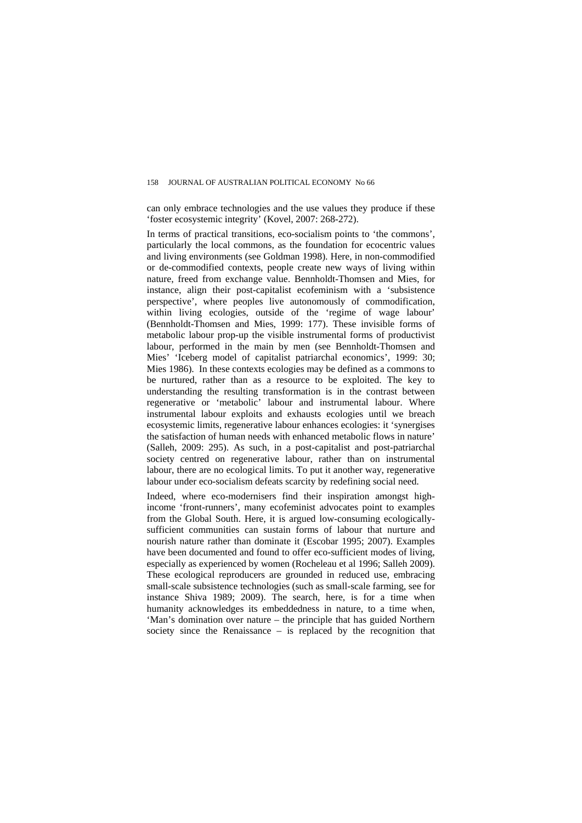can only embrace technologies and the use values they produce if these 'foster ecosystemic integrity' (Kovel, 2007: 268-272).

In terms of practical transitions, eco-socialism points to 'the commons', particularly the local commons, as the foundation for ecocentric values and living environments (see Goldman 1998). Here, in non-commodified or de-commodified contexts, people create new ways of living within nature, freed from exchange value. Bennholdt-Thomsen and Mies, for instance, align their post-capitalist ecofeminism with a 'subsistence perspective', where peoples live autonomously of commodification, within living ecologies, outside of the 'regime of wage labour' (Bennholdt-Thomsen and Mies, 1999: 177). These invisible forms of metabolic labour prop-up the visible instrumental forms of productivist labour, performed in the main by men (see Bennholdt-Thomsen and Mies' 'Iceberg model of capitalist patriarchal economics', 1999: 30; Mies 1986). In these contexts ecologies may be defined as a commons to be nurtured, rather than as a resource to be exploited. The key to understanding the resulting transformation is in the contrast between regenerative or 'metabolic' labour and instrumental labour. Where instrumental labour exploits and exhausts ecologies until we breach ecosystemic limits, regenerative labour enhances ecologies: it 'synergises the satisfaction of human needs with enhanced metabolic flows in nature' (Salleh, 2009: 295). As such, in a post-capitalist and post-patriarchal society centred on regenerative labour, rather than on instrumental labour, there are no ecological limits. To put it another way, regenerative labour under eco-socialism defeats scarcity by redefining social need.

Indeed, where eco-modernisers find their inspiration amongst highincome 'front-runners', many ecofeminist advocates point to examples from the Global South. Here, it is argued low-consuming ecologicallysufficient communities can sustain forms of labour that nurture and nourish nature rather than dominate it (Escobar 1995; 2007). Examples have been documented and found to offer eco-sufficient modes of living, especially as experienced by women (Rocheleau et al 1996; Salleh 2009). These ecological reproducers are grounded in reduced use, embracing small-scale subsistence technologies (such as small-scale farming, see for instance Shiva 1989; 2009). The search, here, is for a time when humanity acknowledges its embeddedness in nature, to a time when, 'Man's domination over nature – the principle that has guided Northern society since the Renaissance – is replaced by the recognition that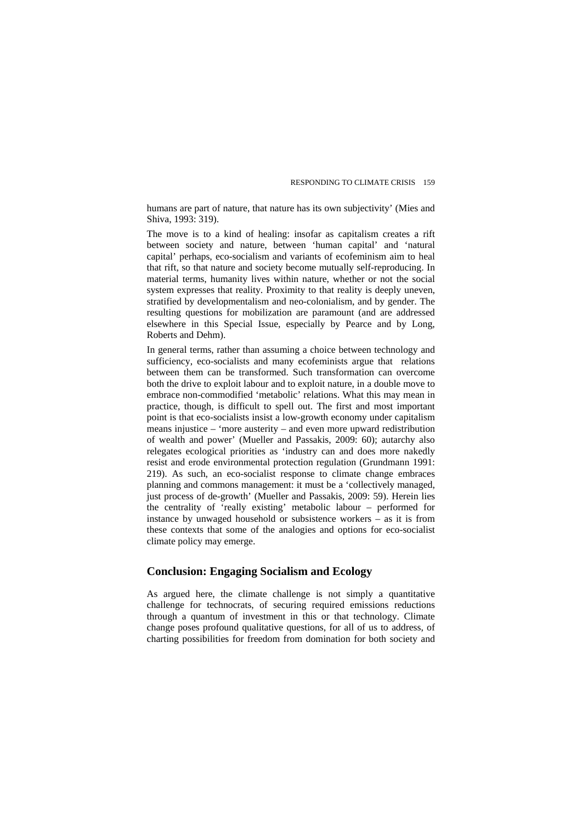humans are part of nature, that nature has its own subjectivity' (Mies and Shiva, 1993: 319).

The move is to a kind of healing: insofar as capitalism creates a rift between society and nature, between 'human capital' and 'natural capital' perhaps, eco-socialism and variants of ecofeminism aim to heal that rift, so that nature and society become mutually self-reproducing. In material terms, humanity lives within nature, whether or not the social system expresses that reality. Proximity to that reality is deeply uneven, stratified by developmentalism and neo-colonialism, and by gender. The resulting questions for mobilization are paramount (and are addressed elsewhere in this Special Issue, especially by Pearce and by Long, Roberts and Dehm).

In general terms, rather than assuming a choice between technology and sufficiency, eco-socialists and many ecofeminists argue that relations between them can be transformed. Such transformation can overcome both the drive to exploit labour and to exploit nature, in a double move to embrace non-commodified 'metabolic' relations. What this may mean in practice, though, is difficult to spell out. The first and most important point is that eco-socialists insist a low-growth economy under capitalism means injustice – 'more austerity – and even more upward redistribution of wealth and power' (Mueller and Passakis, 2009: 60); autarchy also relegates ecological priorities as 'industry can and does more nakedly resist and erode environmental protection regulation (Grundmann 1991: 219). As such, an eco-socialist response to climate change embraces planning and commons management: it must be a 'collectively managed, just process of de-growth' (Mueller and Passakis, 2009: 59). Herein lies the centrality of 'really existing' metabolic labour – performed for instance by unwaged household or subsistence workers – as it is from these contexts that some of the analogies and options for eco-socialist climate policy may emerge.

## **Conclusion: Engaging Socialism and Ecology**

As argued here, the climate challenge is not simply a quantitative challenge for technocrats, of securing required emissions reductions through a quantum of investment in this or that technology. Climate change poses profound qualitative questions, for all of us to address, of charting possibilities for freedom from domination for both society and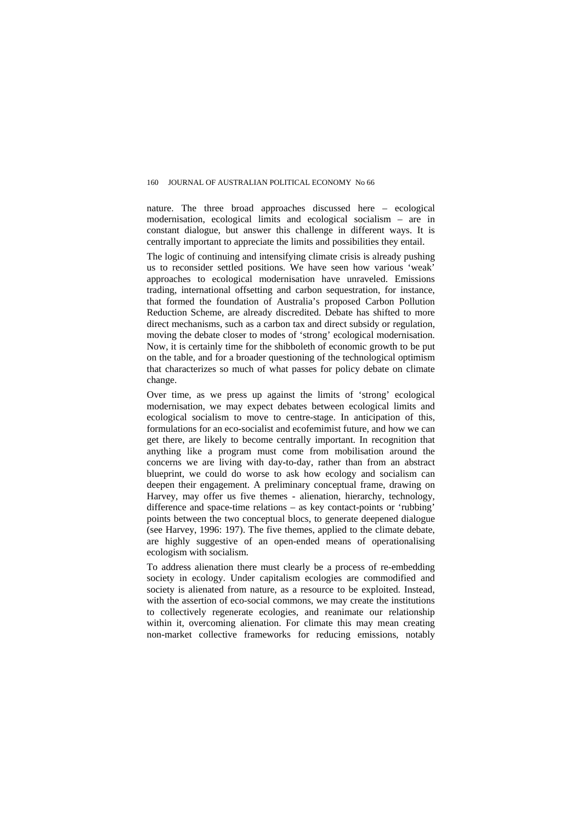nature. The three broad approaches discussed here – ecological modernisation, ecological limits and ecological socialism – are in constant dialogue, but answer this challenge in different ways. It is centrally important to appreciate the limits and possibilities they entail.

The logic of continuing and intensifying climate crisis is already pushing us to reconsider settled positions. We have seen how various 'weak' approaches to ecological modernisation have unraveled. Emissions trading, international offsetting and carbon sequestration, for instance, that formed the foundation of Australia's proposed Carbon Pollution Reduction Scheme, are already discredited. Debate has shifted to more direct mechanisms, such as a carbon tax and direct subsidy or regulation, moving the debate closer to modes of 'strong' ecological modernisation. Now, it is certainly time for the shibboleth of economic growth to be put on the table, and for a broader questioning of the technological optimism that characterizes so much of what passes for policy debate on climate change.

Over time, as we press up against the limits of 'strong' ecological modernisation, we may expect debates between ecological limits and ecological socialism to move to centre-stage. In anticipation of this, formulations for an eco-socialist and ecofemimist future, and how we can get there, are likely to become centrally important. In recognition that anything like a program must come from mobilisation around the concerns we are living with day-to-day, rather than from an abstract blueprint, we could do worse to ask how ecology and socialism can deepen their engagement. A preliminary conceptual frame, drawing on Harvey, may offer us five themes - alienation, hierarchy, technology, difference and space-time relations – as key contact-points or 'rubbing' points between the two conceptual blocs, to generate deepened dialogue (see Harvey, 1996: 197). The five themes, applied to the climate debate, are highly suggestive of an open-ended means of operationalising ecologism with socialism.

To address alienation there must clearly be a process of re-embedding society in ecology. Under capitalism ecologies are commodified and society is alienated from nature, as a resource to be exploited. Instead, with the assertion of eco-social commons, we may create the institutions to collectively regenerate ecologies, and reanimate our relationship within it, overcoming alienation. For climate this may mean creating non-market collective frameworks for reducing emissions, notably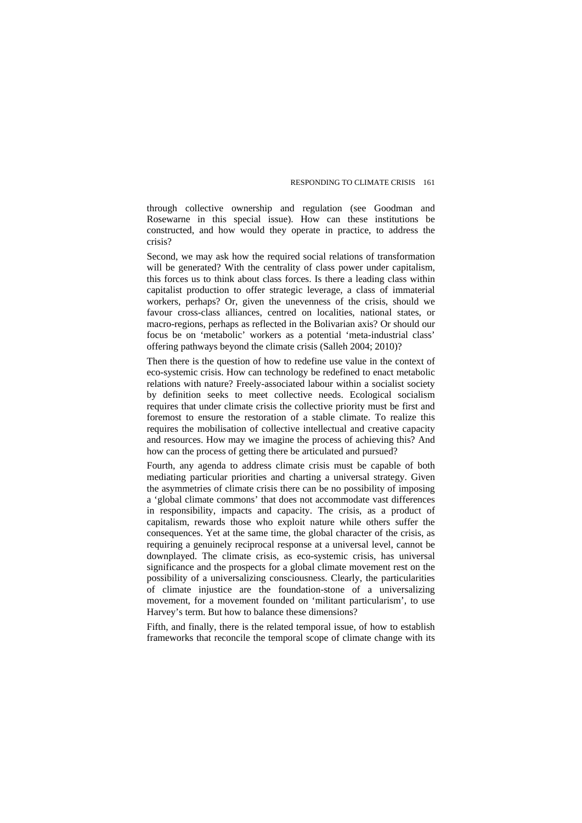through collective ownership and regulation (see Goodman and Rosewarne in this special issue). How can these institutions be constructed, and how would they operate in practice, to address the crisis?

Second, we may ask how the required social relations of transformation will be generated? With the centrality of class power under capitalism, this forces us to think about class forces. Is there a leading class within capitalist production to offer strategic leverage, a class of immaterial workers, perhaps? Or, given the unevenness of the crisis, should we favour cross-class alliances, centred on localities, national states, or macro-regions, perhaps as reflected in the Bolivarian axis? Or should our focus be on 'metabolic' workers as a potential 'meta-industrial class' offering pathways beyond the climate crisis (Salleh 2004; 2010)?

Then there is the question of how to redefine use value in the context of eco-systemic crisis. How can technology be redefined to enact metabolic relations with nature? Freely-associated labour within a socialist society by definition seeks to meet collective needs. Ecological socialism requires that under climate crisis the collective priority must be first and foremost to ensure the restoration of a stable climate. To realize this requires the mobilisation of collective intellectual and creative capacity and resources. How may we imagine the process of achieving this? And how can the process of getting there be articulated and pursued?

Fourth, any agenda to address climate crisis must be capable of both mediating particular priorities and charting a universal strategy. Given the asymmetries of climate crisis there can be no possibility of imposing a 'global climate commons' that does not accommodate vast differences in responsibility, impacts and capacity. The crisis, as a product of capitalism, rewards those who exploit nature while others suffer the consequences. Yet at the same time, the global character of the crisis, as requiring a genuinely reciprocal response at a universal level, cannot be downplayed. The climate crisis, as eco-systemic crisis, has universal significance and the prospects for a global climate movement rest on the possibility of a universalizing consciousness. Clearly, the particularities of climate injustice are the foundation-stone of a universalizing movement, for a movement founded on 'militant particularism', to use Harvey's term. But how to balance these dimensions?

Fifth, and finally, there is the related temporal issue, of how to establish frameworks that reconcile the temporal scope of climate change with its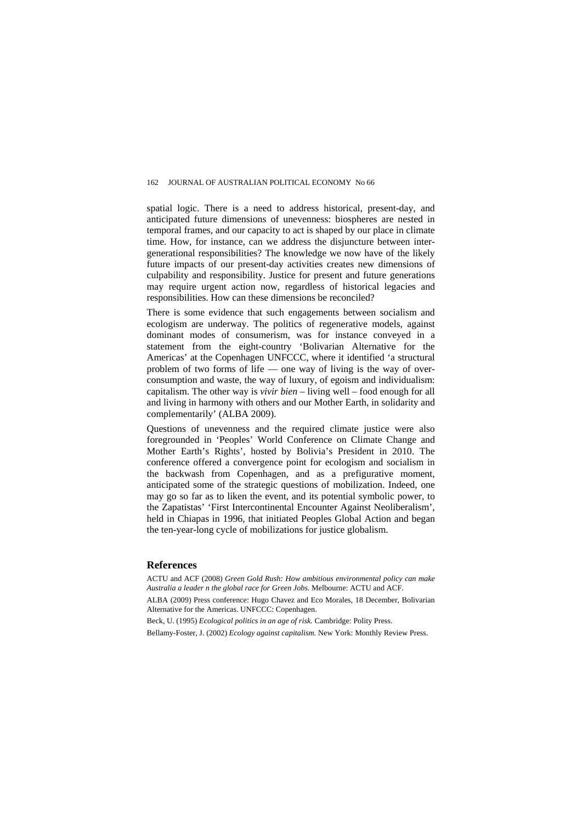spatial logic. There is a need to address historical, present-day, and anticipated future dimensions of unevenness: biospheres are nested in temporal frames, and our capacity to act is shaped by our place in climate time. How, for instance, can we address the disjuncture between intergenerational responsibilities? The knowledge we now have of the likely future impacts of our present-day activities creates new dimensions of culpability and responsibility. Justice for present and future generations may require urgent action now, regardless of historical legacies and responsibilities. How can these dimensions be reconciled?

There is some evidence that such engagements between socialism and ecologism are underway. The politics of regenerative models, against dominant modes of consumerism, was for instance conveyed in a statement from the eight-country 'Bolivarian Alternative for the Americas' at the Copenhagen UNFCCC, where it identified 'a structural problem of two forms of life — one way of living is the way of overconsumption and waste, the way of luxury, of egoism and individualism: capitalism. The other way is *vivir bien* – living well – food enough for all and living in harmony with others and our Mother Earth, in solidarity and complementarily' (ALBA 2009).

Questions of unevenness and the required climate justice were also foregrounded in 'Peoples' World Conference on Climate Change and Mother Earth's Rights', hosted by Bolivia's President in 2010. The conference offered a convergence point for ecologism and socialism in the backwash from Copenhagen, and as a prefigurative moment, anticipated some of the strategic questions of mobilization. Indeed, one may go so far as to liken the event, and its potential symbolic power, to the Zapatistas' 'First Intercontinental Encounter Against Neoliberalism', held in Chiapas in 1996, that initiated Peoples Global Action and began the ten-year-long cycle of mobilizations for justice globalism.

### **References**

ACTU and ACF (2008) *Green Gold Rush: How ambitious environmental policy can make Australia a leader n the global race for Green Jobs.* Melbourne: ACTU and ACF.

ALBA (2009) Press conference: Hugo Chavez and Eco Morales, 18 December, Bolivarian Alternative for the Americas. UNFCCC: Copenhagen.

Beck, U. (1995) *Ecological politics in an age of risk.* Cambridge: Polity Press.

Bellamy-Foster, J. (2002) *Ecology against capitalism.* New York: Monthly Review Press.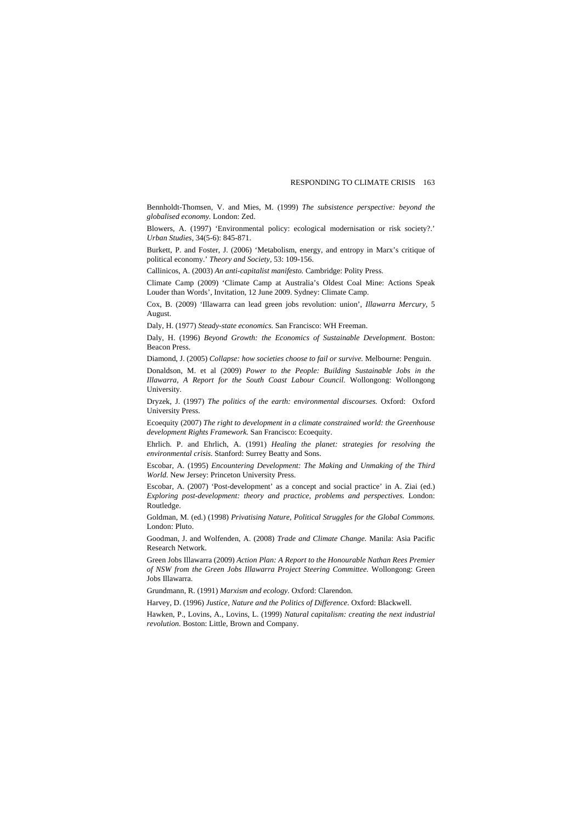Bennholdt-Thomsen, V. and Mies, M. (1999) *The subsistence perspective: beyond the globalised economy.* London: Zed.

Blowers, A. (1997) 'Environmental policy: ecological modernisation or risk society?.' *Urban Studies,* 34(5-6): 845-871.

Burkett, P. and Foster, J. (2006) 'Metabolism, energy, and entropy in Marx's critique of political economy.' *Theory and Society,* 53: 109-156.

Callinicos, A. (2003) *An anti-capitalist manifesto.* Cambridge: Polity Press.

Climate Camp (2009) 'Climate Camp at Australia's Oldest Coal Mine: Actions Speak Louder than Words', Invitation, 12 June 2009. Sydney: Climate Camp.

Cox, B. (2009) 'Illawarra can lead green jobs revolution: union', *Illawarra Mercury,* 5 August.

Daly, H. (1977) *Steady-state economics.* San Francisco: WH Freeman.

Daly, H. (1996) *Beyond Growth: the Economics of Sustainable Development.* Boston: Beacon Press.

Diamond, J. (2005) *Collapse: how societies choose to fail or survive.* Melbourne: Penguin.

Donaldson, M. et al (2009) *Power to the People: Building Sustainable Jobs in the Illawarra, A Report for the South Coast Labour Council.* Wollongong: Wollongong University.

Dryzek, J. (1997) *The politics of the earth: environmental discourses.* Oxford: Oxford University Press.

Ecoequity (2007) *The right to development in a climate constrained world: the Greenhouse development Rights Framework.* San Francisco: Ecoequity.

Ehrlich. P. and Ehrlich, A. (1991) *Healing the planet: strategies for resolving the environmental crisis.* Stanford: Surrey Beatty and Sons.

Escobar, A. (1995) *Encountering Development: The Making and Unmaking of the Third World.* New Jersey: Princeton University Press.

Escobar, A. (2007) 'Post-development' as a concept and social practice' in A. Ziai (ed.) *Exploring post-development: theory and practice, problems and perspectives.* London: Routledge.

Goldman, M. (ed.) (1998) *Privatising Nature, Political Struggles for the Global Commons.* London: Pluto.

Goodman, J. and Wolfenden, A. (2008) *Trade and Climate Change.* Manila: Asia Pacific Research Network.

Green Jobs Illawarra (2009) *Action Plan: A Report to the Honourable Nathan Rees Premier of NSW from the Green Jobs Illawarra Project Steering Committee.* Wollongong: Green Jobs Illawarra.

Grundmann, R. (1991) *Marxism and ecology.* Oxford: Clarendon.

Harvey, D. (1996) *Justice, Nature and the Politics of Difference.* Oxford: Blackwell.

Hawken, P., Lovins, A., Lovins, L. (1999) *Natural capitalism: creating the next industrial revolution.* Boston: Little, Brown and Company.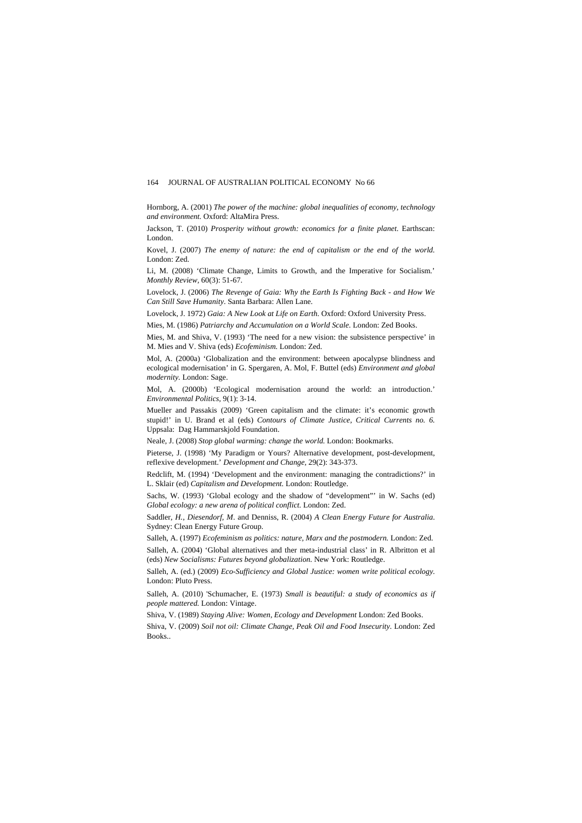#### 164 JOURNAL OF AUSTRALIAN POLITICAL ECONOMY No 66

Hornborg, A. (2001) *The power of the machine: global inequalities of economy, technology and environment.* Oxford: AltaMira Press.

Jackson, T. (2010) *Prosperity without growth: economics for a finite planet.* Earthscan: London.

Kovel, J. (2007) *The enemy of nature: the end of capitalism or the end of the world.* London: Zed.

Li, M. (2008) 'Climate Change, Limits to Growth, and the Imperative for Socialism.' *Monthly Review,* 60(3): 51-67.

Lovelock, J. (2006) *The Revenge of Gaia: Why the Earth Is Fighting Back - and How We Can Still Save Humanity*. Santa Barbara: Allen Lane.

Lovelock, J. 1972) *Gaia: A New Look at Life on Earth*. Oxford: Oxford University Press.

Mies, M. (1986) *Patriarchy and Accumulation on a World Scale.* London: Zed Books.

Mies, M. and Shiva, V. (1993) 'The need for a new vision: the subsistence perspective' in M. Mies and V. Shiva (eds) *Ecofeminism.* London: Zed.

Mol, A. (2000a) 'Globalization and the environment: between apocalypse blindness and ecological modernisation' in G. Spergaren, A. Mol, F. Buttel (eds) *Environment and global modernity.* London: Sage.

Mol, A. (2000b) 'Ecological modernisation around the world: an introduction.' *Environmental Politics,* 9(1): 3-14.

Mueller and Passakis (2009) 'Green capitalism and the climate: it's economic growth stupid!' in U. Brand et al (eds) *Contours of Climate Justice, Critical Currents no. 6.* Uppsala: Dag Hammarskjold Foundation.

Neale, J. (2008) *Stop global warming: change the world.* London: Bookmarks.

Pieterse, J. (1998) 'My Paradigm or Yours? Alternative development, post-development, reflexive development.' *Development and Change,* 29(2): 343-373.

Redclift, M. (1994) 'Development and the environment: managing the contradictions?' in L. Sklair (ed) *Capitalism and Development.* London: Routledge.

Sachs, W. (1993) 'Global ecology and the shadow of "development"' in W. Sachs (ed) *Global ecology: a new arena of political conflict.* London: Zed.

Saddler, *H.*, *Diesendorf, M*. and Denniss, R. (2004) *A Clean Energy Future for Australia*. Sydney: Clean Energy Future Group.

Salleh, A. (1997) *Ecofeminism as politics: nature, Marx and the postmodern.* London: Zed.

Salleh, A. (2004) 'Global alternatives and ther meta-industrial class' in R. Albritton et al (eds) *New Socialisms: Futures beyond globalization.* New York: Routledge.

Salleh, A. (ed.) (2009) *Eco-Sufficiency and Global Justice: women write political ecology.* London: Pluto Press.

Salleh, A. (2010) 'Schumacher, E. (1973) *Small is beautiful: a study of economics as if people mattered.* London: Vintage.

Shiva, V. (1989) *Staying Alive: Women, Ecology and Development* London: Zed Books.

Shiva, V. (2009) *Soil not oil: Climate Change, Peak Oil and Food Insecurity.* London: Zed Books..